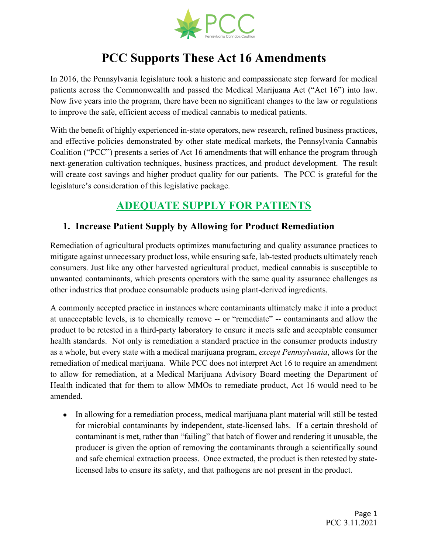

# **PCC Supports These Act 16 Amendments**

In 2016, the Pennsylvania legislature took a historic and compassionate step forward for medical patients across the Commonwealth and passed the Medical Marijuana Act ("Act 16") into law. Now five years into the program, there have been no significant changes to the law or regulations to improve the safe, efficient access of medical cannabis to medical patients.

With the benefit of highly experienced in-state operators, new research, refined business practices, and effective policies demonstrated by other state medical markets, the Pennsylvania Cannabis Coalition ("PCC") presents a series of Act 16 amendments that will enhance the program through next-generation cultivation techniques, business practices, and product development. The result will create cost savings and higher product quality for our patients. The PCC is grateful for the legislature's consideration of this legislative package.

# **ADEQUATE SUPPLY FOR PATIENTS**

### **1. Increase Patient Supply by Allowing for Product Remediation**

Remediation of agricultural products optimizes manufacturing and quality assurance practices to mitigate against unnecessary product loss, while ensuring safe, lab-tested products ultimately reach consumers. Just like any other harvested agricultural product, medical cannabis is susceptible to unwanted contaminants, which presents operators with the same quality assurance challenges as other industries that produce consumable products using plant-derived ingredients.

A commonly accepted practice in instances where contaminants ultimately make it into a product at unacceptable levels, is to chemically remove -- or "remediate" -- contaminants and allow the product to be retested in a third-party laboratory to ensure it meets safe and acceptable consumer health standards. Not only is remediation a standard practice in the consumer products industry as a whole, but every state with a medical marijuana program, *except Pennsylvania*, allows for the remediation of medical marijuana. While PCC does not interpret Act 16 to require an amendment to allow for remediation, at a Medical Marijuana Advisory Board meeting the Department of Health indicated that for them to allow MMOs to remediate product, Act 16 would need to be amended.

• In allowing for a remediation process, medical marijuana plant material will still be tested for microbial contaminants by independent, state-licensed labs. If a certain threshold of contaminant is met, rather than "failing" that batch of flower and rendering it unusable, the producer is given the option of removing the contaminants through a scientifically sound and safe chemical extraction process. Once extracted, the product is then retested by statelicensed labs to ensure its safety, and that pathogens are not present in the product.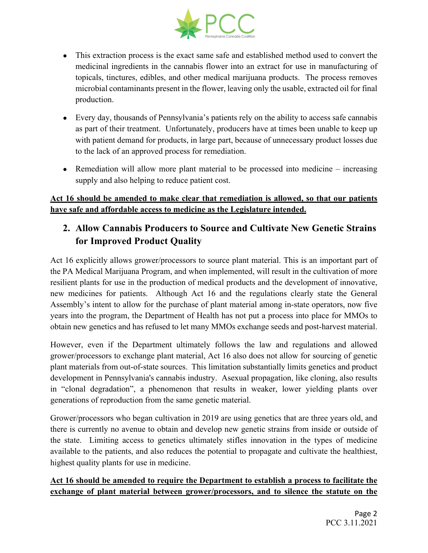

- This extraction process is the exact same safe and established method used to convert the medicinal ingredients in the cannabis flower into an extract for use in manufacturing of topicals, tinctures, edibles, and other medical marijuana products. The process removes microbial contaminants present in the flower, leaving only the usable, extracted oil for final production.
- Every day, thousands of Pennsylvania's patients rely on the ability to access safe cannabis as part of their treatment. Unfortunately, producers have at times been unable to keep up with patient demand for products, in large part, because of unnecessary product losses due to the lack of an approved process for remediation.
- Remediation will allow more plant material to be processed into medicine increasing supply and also helping to reduce patient cost.

#### **Act 16 should be amended to make clear that remediation is allowed, so that our patients have safe and affordable access to medicine as the Legislature intended.**

#### **2. Allow Cannabis Producers to Source and Cultivate New Genetic Strains for Improved Product Quality**

Act 16 explicitly allows grower/processors to source plant material. This is an important part of the PA Medical Marijuana Program, and when implemented, will result in the cultivation of more resilient plants for use in the production of medical products and the development of innovative, new medicines for patients. Although Act 16 and the regulations clearly state the General Assembly's intent to allow for the purchase of plant material among in-state operators, now five years into the program, the Department of Health has not put a process into place for MMOs to obtain new genetics and has refused to let many MMOs exchange seeds and post-harvest material.

However, even if the Department ultimately follows the law and regulations and allowed grower/processors to exchange plant material, Act 16 also does not allow for sourcing of genetic plant materials from out-of-state sources. This limitation substantially limits genetics and product development in Pennsylvania's cannabis industry. Asexual propagation, like cloning, also results in "clonal degradation", a phenomenon that results in weaker, lower yielding plants over generations of reproduction from the same genetic material.

Grower/processors who began cultivation in 2019 are using genetics that are three years old, and there is currently no avenue to obtain and develop new genetic strains from inside or outside of the state. Limiting access to genetics ultimately stifles innovation in the types of medicine available to the patients, and also reduces the potential to propagate and cultivate the healthiest, highest quality plants for use in medicine.

#### **Act 16 should be amended to require the Department to establish a process to facilitate the exchange of plant material between grower/processors, and to silence the statute on the**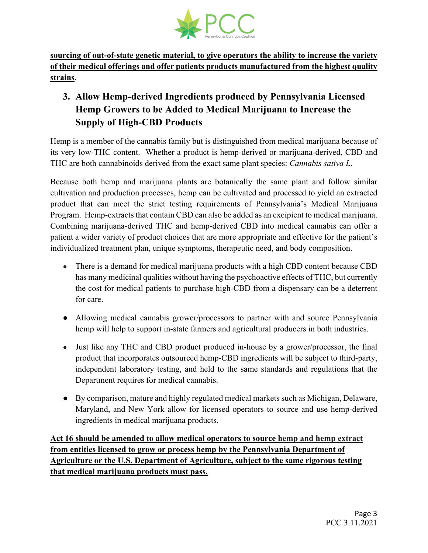

**sourcing of out-of-state genetic material, to give operators the ability to increase the variety of their medical offerings and offer patients products manufactured from the highest quality strains**.

## **3. Allow Hemp-derived Ingredients produced by Pennsylvania Licensed Hemp Growers to be Added to Medical Marijuana to Increase the Supply of High-CBD Products**

Hemp is a member of the cannabis family but is distinguished from medical marijuana because of its very low-THC content. Whether a product is hemp-derived or marijuana-derived, CBD and THC are both cannabinoids derived from the exact same plant species: *Cannabis sativa L*.

Because both hemp and marijuana plants are botanically the same plant and follow similar cultivation and production processes, hemp can be cultivated and processed to yield an extracted product that can meet the strict testing requirements of Pennsylvania's Medical Marijuana Program. Hemp-extracts that contain CBD can also be added as an excipient to medical marijuana. Combining marijuana-derived THC and hemp-derived CBD into medical cannabis can offer a patient a wider variety of product choices that are more appropriate and effective for the patient's individualized treatment plan, unique symptoms, therapeutic need, and body composition.

- There is a demand for medical marijuana products with a high CBD content because CBD has many medicinal qualities without having the psychoactive effects of THC, but currently the cost for medical patients to purchase high-CBD from a dispensary can be a deterrent for care.
- Allowing medical cannabis grower/processors to partner with and source Pennsylvania hemp will help to support in-state farmers and agricultural producers in both industries.
- Just like any THC and CBD product produced in-house by a grower/processor, the final product that incorporates outsourced hemp-CBD ingredients will be subject to third-party, independent laboratory testing, and held to the same standards and regulations that the Department requires for medical cannabis.
- By comparison, mature and highly regulated medical markets such as Michigan, Delaware, Maryland, and New York allow for licensed operators to source and use hemp-derived ingredients in medical marijuana products.

**Act 16 should be amended to allow medical operators to source hemp and hemp extract from entities licensed to grow or process hemp by the Pennsylvania Department of Agriculture or the U.S. Department of Agriculture, subject to the same rigorous testing that medical marijuana products must pass.**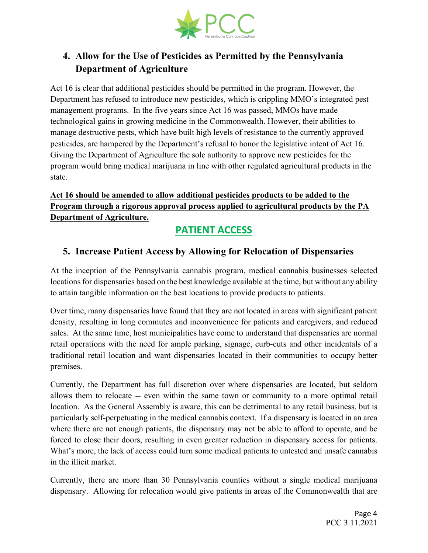

## **4. Allow for the Use of Pesticides as Permitted by the Pennsylvania Department of Agriculture**

Act 16 is clear that additional pesticides should be permitted in the program. However, the Department has refused to introduce new pesticides, which is crippling MMO's integrated pest management programs. In the five years since Act 16 was passed, MMOs have made technological gains in growing medicine in the Commonwealth. However, their abilities to manage destructive pests, which have built high levels of resistance to the currently approved pesticides, are hampered by the Department's refusal to honor the legislative intent of Act 16. Giving the Department of Agriculture the sole authority to approve new pesticides for the program would bring medical marijuana in line with other regulated agricultural products in the state.

#### **Act 16 should be amended to allow additional pesticides products to be added to the Program through a rigorous approval process applied to agricultural products by the PA Department of Agriculture.**

# **PATIENT ACCESS**

### **5. Increase Patient Access by Allowing for Relocation of Dispensaries**

At the inception of the Pennsylvania cannabis program, medical cannabis businesses selected locations for dispensaries based on the best knowledge available at the time, but without any ability to attain tangible information on the best locations to provide products to patients.

Over time, many dispensaries have found that they are not located in areas with significant patient density, resulting in long commutes and inconvenience for patients and caregivers, and reduced sales. At the same time, host municipalities have come to understand that dispensaries are normal retail operations with the need for ample parking, signage, curb-cuts and other incidentals of a traditional retail location and want dispensaries located in their communities to occupy better premises.

Currently, the Department has full discretion over where dispensaries are located, but seldom allows them to relocate -- even within the same town or community to a more optimal retail location. As the General Assembly is aware, this can be detrimental to any retail business, but is particularly self-perpetuating in the medical cannabis context. If a dispensary is located in an area where there are not enough patients, the dispensary may not be able to afford to operate, and be forced to close their doors, resulting in even greater reduction in dispensary access for patients. What's more, the lack of access could turn some medical patients to untested and unsafe cannabis in the illicit market.

Currently, there are more than 30 Pennsylvania counties without a single medical marijuana dispensary. Allowing for relocation would give patients in areas of the Commonwealth that are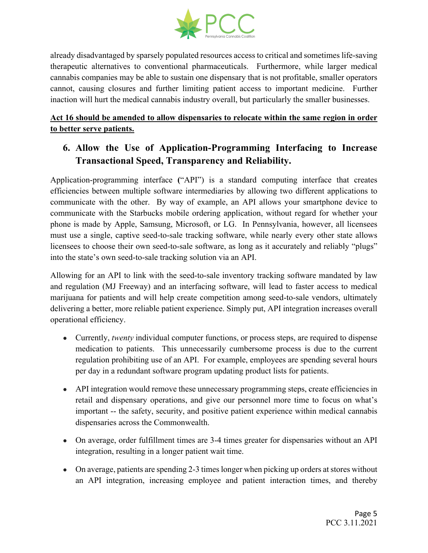

already disadvantaged by sparsely populated resources access to critical and sometimes life-saving therapeutic alternatives to conventional pharmaceuticals. Furthermore, while larger medical cannabis companies may be able to sustain one dispensary that is not profitable, smaller operators cannot, causing closures and further limiting patient access to important medicine. Further inaction will hurt the medical cannabis industry overall, but particularly the smaller businesses.

**Act 16 should be amended to allow dispensaries to relocate within the same region in order to better serve patients.**

### **6. Allow the Use of Application-Programming Interfacing to Increase Transactional Speed, Transparency and Reliability.**

Application-programming interface **(**"API") is a standard computing interface that creates efficiencies between multiple software intermediaries by allowing two different applications to communicate with the other. By way of example, an API allows your smartphone device to communicate with the Starbucks mobile ordering application, without regard for whether your phone is made by Apple, Samsung, Microsoft, or LG. In Pennsylvania, however, all licensees must use a single, captive seed-to-sale tracking software, while nearly every other state allows licensees to choose their own seed-to-sale software, as long as it accurately and reliably "plugs" into the state's own seed-to-sale tracking solution via an API.

Allowing for an API to link with the seed-to-sale inventory tracking software mandated by law and regulation (MJ Freeway) and an interfacing software, will lead to faster access to medical marijuana for patients and will help create competition among seed-to-sale vendors, ultimately delivering a better, more reliable patient experience. Simply put, API integration increases overall operational efficiency.

- Currently, *twenty* individual computer functions, or process steps, are required to dispense medication to patients. This unnecessarily cumbersome process is due to the current regulation prohibiting use of an API. For example, employees are spending several hours per day in a redundant software program updating product lists for patients.
- API integration would remove these unnecessary programming steps, create efficiencies in retail and dispensary operations, and give our personnel more time to focus on what's important -- the safety, security, and positive patient experience within medical cannabis dispensaries across the Commonwealth.
- On average, order fulfillment times are 3-4 times greater for dispensaries without an API integration, resulting in a longer patient wait time.
- On average, patients are spending 2-3 times longer when picking up orders at stores without an API integration, increasing employee and patient interaction times, and thereby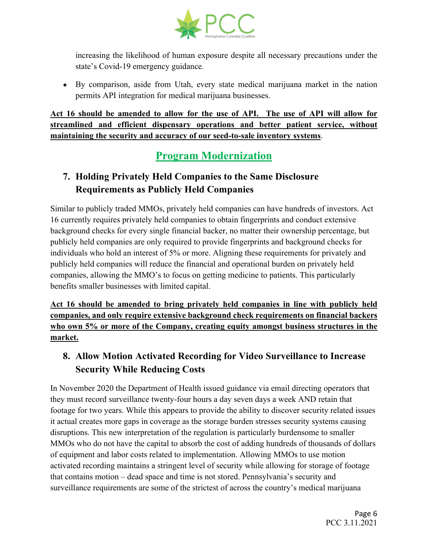

increasing the likelihood of human exposure despite all necessary precautions under the state's Covid-19 emergency guidance.

● By comparison, aside from Utah, every state medical marijuana market in the nation permits API integration for medical marijuana businesses.

**Act 16 should be amended to allow for the use of API. The use of API will allow for streamlined and efficient dispensary operations and better patient service, without maintaining the security and accuracy of our seed-to-sale inventory systems**.

# **Program Modernization**

## **7. Holding Privately Held Companies to the Same Disclosure Requirements as Publicly Held Companies**

Similar to publicly traded MMOs, privately held companies can have hundreds of investors. Act 16 currently requires privately held companies to obtain fingerprints and conduct extensive background checks for every single financial backer, no matter their ownership percentage, but publicly held companies are only required to provide fingerprints and background checks for individuals who hold an interest of 5% or more. Aligning these requirements for privately and publicly held companies will reduce the financial and operational burden on privately held companies, allowing the MMO's to focus on getting medicine to patients. This particularly benefits smaller businesses with limited capital.

**Act 16 should be amended to bring privately held companies in line with publicly held companies, and only require extensive background check requirements on financial backers who own 5% or more of the Company, creating equity amongst business structures in the market.**

### **8. Allow Motion Activated Recording for Video Surveillance to Increase Security While Reducing Costs**

In November 2020 the Department of Health issued guidance via email directing operators that they must record surveillance twenty-four hours a day seven days a week AND retain that footage for two years. While this appears to provide the ability to discover security related issues it actual creates more gaps in coverage as the storage burden stresses security systems causing disruptions. This new interpretation of the regulation is particularly burdensome to smaller MMOs who do not have the capital to absorb the cost of adding hundreds of thousands of dollars of equipment and labor costs related to implementation. Allowing MMOs to use motion activated recording maintains a stringent level of security while allowing for storage of footage that contains motion – dead space and time is not stored. Pennsylvania's security and surveillance requirements are some of the strictest of across the country's medical marijuana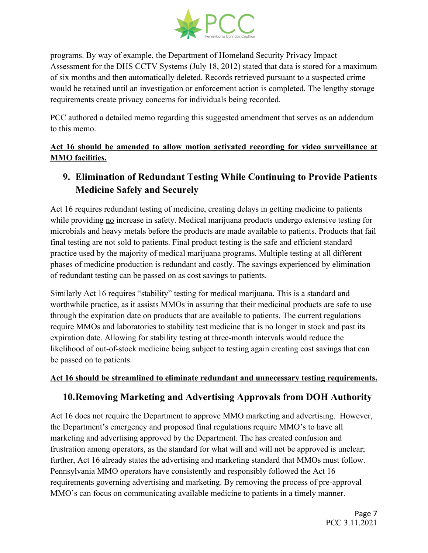

programs. By way of example, the Department of Homeland Security Privacy Impact Assessment for the DHS CCTV Systems (July 18, 2012) stated that data is stored for a maximum of six months and then automatically deleted. Records retrieved pursuant to a suspected crime would be retained until an investigation or enforcement action is completed. The lengthy storage requirements create privacy concerns for individuals being recorded.

PCC authored a detailed memo regarding this suggested amendment that serves as an addendum to this memo.

**Act 16 should be amended to allow motion activated recording for video surveillance at MMO facilities.**

### **9. Elimination of Redundant Testing While Continuing to Provide Patients Medicine Safely and Securely**

Act 16 requires redundant testing of medicine, creating delays in getting medicine to patients while providing no increase in safety. Medical marijuana products undergo extensive testing for microbials and heavy metals before the products are made available to patients. Products that fail final testing are not sold to patients. Final product testing is the safe and efficient standard practice used by the majority of medical marijuana programs. Multiple testing at all different phases of medicine production is redundant and costly. The savings experienced by elimination of redundant testing can be passed on as cost savings to patients.

Similarly Act 16 requires "stability" testing for medical marijuana. This is a standard and worthwhile practice, as it assists MMOs in assuring that their medicinal products are safe to use through the expiration date on products that are available to patients. The current regulations require MMOs and laboratories to stability test medicine that is no longer in stock and past its expiration date. Allowing for stability testing at three-month intervals would reduce the likelihood of out-of-stock medicine being subject to testing again creating cost savings that can be passed on to patients.

#### **Act 16 should be streamlined to eliminate redundant and unnecessary testing requirements.**

#### **10.Removing Marketing and Advertising Approvals from DOH Authority**

Act 16 does not require the Department to approve MMO marketing and advertising. However, the Department's emergency and proposed final regulations require MMO's to have all marketing and advertising approved by the Department. The has created confusion and frustration among operators, as the standard for what will and will not be approved is unclear; further, Act 16 already states the advertising and marketing standard that MMOs must follow. Pennsylvania MMO operators have consistently and responsibly followed the Act 16 requirements governing advertising and marketing. By removing the process of pre-approval MMO's can focus on communicating available medicine to patients in a timely manner.